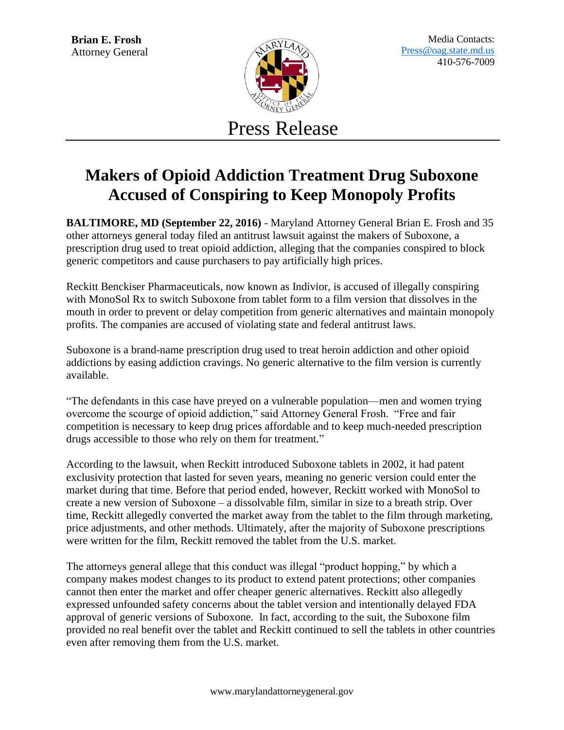

Press Release

## **Makers of Opioid Addiction Treatment Drug Suboxone Accused of Conspiring to Keep Monopoly Profits**

**BALTIMORE, MD (September 22, 2016)** - Maryland Attorney General Brian E. Frosh and 35 other attorneys general today filed an antitrust lawsuit against the makers of Suboxone, a prescription drug used to treat opioid addiction, alleging that the companies conspired to block generic competitors and cause purchasers to pay artificially high prices.

Reckitt Benckiser Pharmaceuticals, now known as Indivior, is accused of illegally conspiring with MonoSol Rx to switch Suboxone from tablet form to a film version that dissolves in the mouth in order to prevent or delay competition from generic alternatives and maintain monopoly profits. The companies are accused of violating state and federal antitrust laws.

Suboxone is a brand-name prescription drug used to treat heroin addiction and other opioid addictions by easing addiction cravings. No generic alternative to the film version is currently available.

"The defendants in this case have preyed on a vulnerable population—men and women trying overcome the scourge of opioid addiction," said Attorney General Frosh. "Free and fair competition is necessary to keep drug prices affordable and to keep much-needed prescription drugs accessible to those who rely on them for treatment."

According to the lawsuit, when Reckitt introduced Suboxone tablets in 2002, it had patent exclusivity protection that lasted for seven years, meaning no generic version could enter the market during that time. Before that period ended, however, Reckitt worked with MonoSol to create a new version of Suboxone – a dissolvable film, similar in size to a breath strip. Over time, Reckitt allegedly converted the market away from the tablet to the film through marketing, price adjustments, and other methods. Ultimately, after the majority of Suboxone prescriptions were written for the film, Reckitt removed the tablet from the U.S. market.

The attorneys general allege that this conduct was illegal "product hopping," by which a company makes modest changes to its product to extend patent protections; other companies cannot then enter the market and offer cheaper generic alternatives. Reckitt also allegedly expressed unfounded safety concerns about the tablet version and intentionally delayed FDA approval of generic versions of Suboxone. In fact, according to the suit, the Suboxone film provided no real benefit over the tablet and Reckitt continued to sell the tablets in other countries even after removing them from the U.S. market.